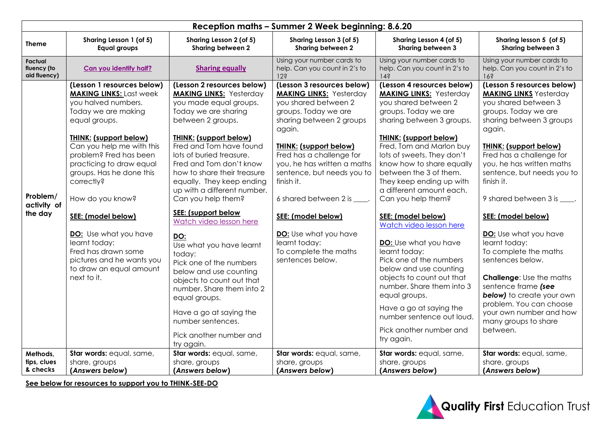| Reception maths - Summer 2 Week beginning: 8.6.20 |                                                                                                                                                                                                                                                                                                                                                                                                                                                                                                         |                                                                                                                                                                                                                                                                                                                                                                                                                                                                                                                                                                                                                                                                                                                             |                                                                                                                                                                                                                                                                                                                                                                                                                                                                            |                                                                                                                                                                                                                                                                                                                                                                                                                                                                                                                                                                                                                                                                                                                                   |                                                                                                                                                                                                                                                                                                                                                                                                                                                                                                                                                                                                                                                                 |  |  |
|---------------------------------------------------|---------------------------------------------------------------------------------------------------------------------------------------------------------------------------------------------------------------------------------------------------------------------------------------------------------------------------------------------------------------------------------------------------------------------------------------------------------------------------------------------------------|-----------------------------------------------------------------------------------------------------------------------------------------------------------------------------------------------------------------------------------------------------------------------------------------------------------------------------------------------------------------------------------------------------------------------------------------------------------------------------------------------------------------------------------------------------------------------------------------------------------------------------------------------------------------------------------------------------------------------------|----------------------------------------------------------------------------------------------------------------------------------------------------------------------------------------------------------------------------------------------------------------------------------------------------------------------------------------------------------------------------------------------------------------------------------------------------------------------------|-----------------------------------------------------------------------------------------------------------------------------------------------------------------------------------------------------------------------------------------------------------------------------------------------------------------------------------------------------------------------------------------------------------------------------------------------------------------------------------------------------------------------------------------------------------------------------------------------------------------------------------------------------------------------------------------------------------------------------------|-----------------------------------------------------------------------------------------------------------------------------------------------------------------------------------------------------------------------------------------------------------------------------------------------------------------------------------------------------------------------------------------------------------------------------------------------------------------------------------------------------------------------------------------------------------------------------------------------------------------------------------------------------------------|--|--|
| <b>Theme</b>                                      | Sharing Lesson 1 (of 5)<br><b>Equal groups</b>                                                                                                                                                                                                                                                                                                                                                                                                                                                          | Sharing Lesson 2 (of 5)<br>Sharing between 2                                                                                                                                                                                                                                                                                                                                                                                                                                                                                                                                                                                                                                                                                | Sharing Lesson 3 (of 5)<br>Sharing between 2                                                                                                                                                                                                                                                                                                                                                                                                                               | Sharing Lesson 4 (of 5)<br>Sharing between 3                                                                                                                                                                                                                                                                                                                                                                                                                                                                                                                                                                                                                                                                                      | Sharing lesson 5 (of 5)<br>Sharing between 3                                                                                                                                                                                                                                                                                                                                                                                                                                                                                                                                                                                                                    |  |  |
| Factual<br>fluency (to<br>aid fluency)            | Can you identify half?                                                                                                                                                                                                                                                                                                                                                                                                                                                                                  | <b>Sharing equally</b>                                                                                                                                                                                                                                                                                                                                                                                                                                                                                                                                                                                                                                                                                                      | Using your number cards to<br>help. Can you count in 2's to<br>12 <sup>5</sup>                                                                                                                                                                                                                                                                                                                                                                                             | Using your number cards to<br>help. Can you count in 2's to<br>142                                                                                                                                                                                                                                                                                                                                                                                                                                                                                                                                                                                                                                                                | Using your number cards to<br>help. Can you count in 2's to<br>163                                                                                                                                                                                                                                                                                                                                                                                                                                                                                                                                                                                              |  |  |
| Problem/<br>activity of<br>the day<br>Methods,    | (Lesson 1 resources below)<br><b>MAKING LINKS: Last week</b><br>you halved numbers.<br>Today we are making<br>equal groups.<br><b>THINK: (support below)</b><br>Can you help me with this<br>problem? Fred has been<br>practicing to draw equal<br>groups. Has he done this<br>correctly?<br>How do you know?<br>SEE: (model below)<br>DO: Use what you have<br>learnt today:<br>Fred has drawn some<br>pictures and he wants you<br>to draw an equal amount<br>next to it.<br>Star words: equal, same, | (Lesson 2 resources below)<br><b>MAKING LINKS: Yesterday</b><br>you made equal groups.<br>Today we are sharing<br>between 2 groups.<br><b>THINK: (support below)</b><br>Fred and Tom have found<br>lots of buried treasure.<br>Fred and Tom don't know<br>how to share their treasure<br>equally. They keep ending<br>up with a different number.<br>Can you help them?<br>SEE: (support below<br>Watch video lesson here<br>DO:<br>Use what you have learnt<br>today:<br>Pick one of the numbers<br>below and use counting<br>objects to count out that<br>number. Share them into 2<br>equal groups.<br>Have a go at saying the<br>number sentences.<br>Pick another number and<br>try again.<br>Star words: equal, same, | (Lesson 3 resources below)<br><b>MAKING LINKS: Yesterday</b><br>you shared between 2<br>groups. Today we are<br>sharing between 2 groups<br>again.<br><b>THINK: (support below)</b><br>Fred has a challenge for<br>you, he has written a maths<br>sentence, but needs you to<br>finish it.<br>6 shared between 2 is _____.<br>SEE: (model below)<br><b>DO:</b> Use what you have<br>learnt today:<br>To complete the maths<br>sentences below.<br>Star words: equal, same, | (Lesson 4 resources below)<br><b>MAKING LINKS: Yesterday</b><br>you shared between 2<br>groups. Today we are<br>sharing between 3 groups.<br><b>THINK: (support below)</b><br>Fred, Tom and Marlon buy<br>lots of sweets. They don't<br>know how to share equally<br>between the 3 of them.<br>They keep ending up with<br>a different amount each.<br>Can you help them?<br>SEE: (model below)<br>Watch video lesson here<br>DO: Use what you have<br>learnt today:<br>Pick one of the numbers<br>below and use counting<br>objects to count out that<br>number. Share them into 3<br>equal groups.<br>Have a go at saying the<br>number sentence out loud.<br>Pick another number and<br>try again.<br>Star words: equal, same, | (Lesson 5 resources below)<br><b>MAKING LINKS</b> Yesterday<br>you shared between 3<br>groups. Today we are<br>sharing between 3 groups<br>again.<br><b>THINK: (support below)</b><br>Fred has a challenge for<br>you, he has written maths<br>sentence, but needs you to<br>finish it.<br>9 shared between 3 is _____.<br>SEE: (model below)<br><b>DO:</b> Use what you have<br>learnt today:<br>To complete the maths<br>sentences below.<br><b>Challenge: Use the maths</b><br>sentence frame (see<br><b>below)</b> to create your own<br>problem. You can choose<br>your own number and how<br>many groups to share<br>between.<br>Star words: equal, same, |  |  |
| tips, clues<br>& checks                           | share, groups<br>(Answers below)                                                                                                                                                                                                                                                                                                                                                                                                                                                                        | share, groups<br>(Answers below)                                                                                                                                                                                                                                                                                                                                                                                                                                                                                                                                                                                                                                                                                            | share, groups<br>(Answers below)                                                                                                                                                                                                                                                                                                                                                                                                                                           | share, groups<br>(Answers below)                                                                                                                                                                                                                                                                                                                                                                                                                                                                                                                                                                                                                                                                                                  | share, groups<br>(Answers below)                                                                                                                                                                                                                                                                                                                                                                                                                                                                                                                                                                                                                                |  |  |

**See below for resources to support you to THINK-SEE-DO**

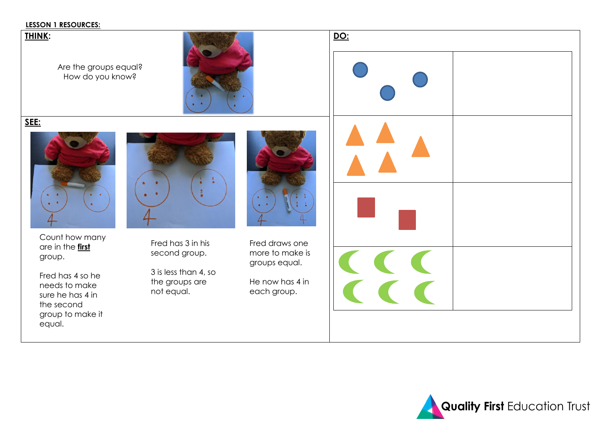### **LESSON 1 RESOURCES:**

### **THINK:**

Are the groups equal? How do you know?



**SEE:** 



Count how many are in the **first** group.

Fred has 4 so he needs to make sure he has 4 in the second group to make it equal.



Fred has 3 in his second group.

3 is less than 4, so the groups are not equal.



Fred draws one more to make groups equal.

He now has 4 in each group.

|               | <u>DO:</u> |  |  |  |  |  |
|---------------|------------|--|--|--|--|--|
|               |            |  |  |  |  |  |
| 2<br>0        |            |  |  |  |  |  |
|               |            |  |  |  |  |  |
| e<br>is<br>'n |            |  |  |  |  |  |
|               |            |  |  |  |  |  |

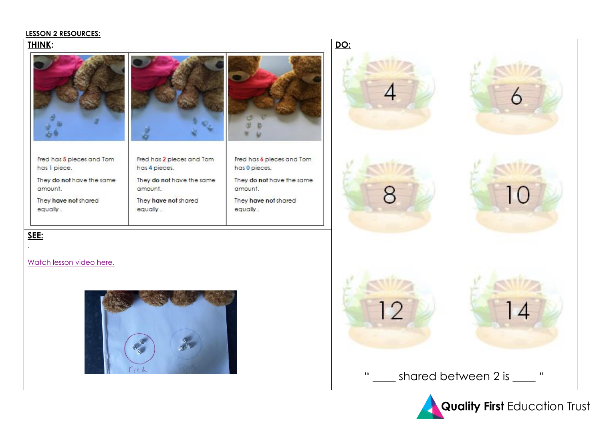### **LESSON 2 RESOURCES:**

## THINK:



Fred has 5 pieces and Tom has I piece. They do not have the same

amount. They have not shared equally.



Fred has 2 pieces and Tom has 4 pieces. They do not have the same amount. They have not shared equally.



Fred has 6 pieces and Tom has 0 pieces. They do not have the same

amount

They have not shared equally.

DO:







Watch lesson video here.

SEE:



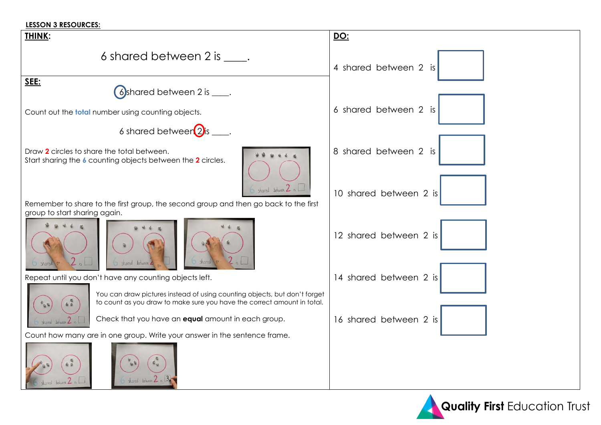### **LESSON 3 RESOURCES:**



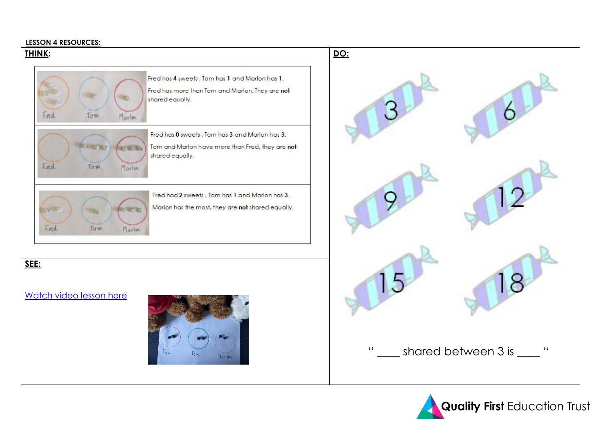### **LESSON 4 RESOURCES:**



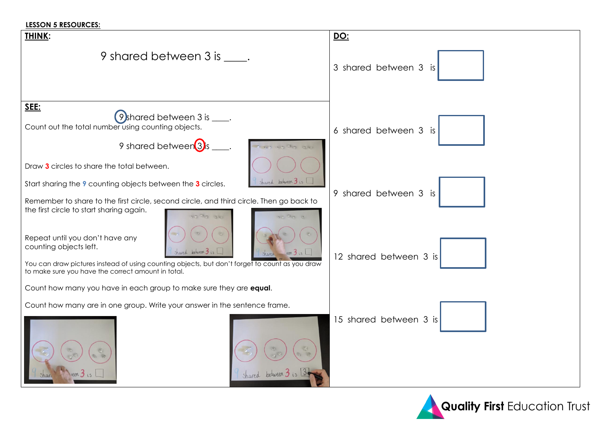### **LESSON 5 RESOURCES:**

| THINK:                                                                                                                                                                                                                                                                                  | DO:                    |
|-----------------------------------------------------------------------------------------------------------------------------------------------------------------------------------------------------------------------------------------------------------------------------------------|------------------------|
| 9 shared between 3 is .                                                                                                                                                                                                                                                                 | 3 shared between 3 is  |
| SEE:<br>$(9)$ shared between 3 is $\_\_\$ .<br>Count out the total number using counting objects.<br>9 shared between 3)s<br>a wa Gia are                                                                                                                                               | 6 shared between 3 is  |
| Draw 3 circles to share the total between.<br>shared between $3$ is 1<br>Start sharing the 9 counting objects between the 3 circles.<br>Remember to share to the first circle, second circle, and third circle. Then go back to<br>the first circle to start sharing again.<br>10 GB 3  | 9 shared between 3 is  |
| Repeat until you don't have any<br>counting objects left.<br>Shared between 3 is<br>$n$ een $\frac{1}{\sqrt{2}}$ is<br>Sharea -<br>You can draw pictures instead of using counting objects, but don't forget to count as you draw<br>to make sure you have the correct amount in total. | 12 shared between 3 is |
| Count how many you have in each group to make sure they are equal.                                                                                                                                                                                                                      |                        |
| Count how many are in one group. Write your answer in the sentence frame.                                                                                                                                                                                                               | 15 shared between 3 is |
| Shared between 3 is                                                                                                                                                                                                                                                                     |                        |

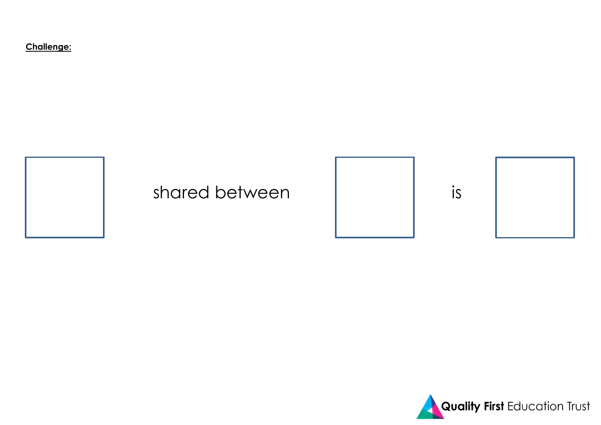Challenge: